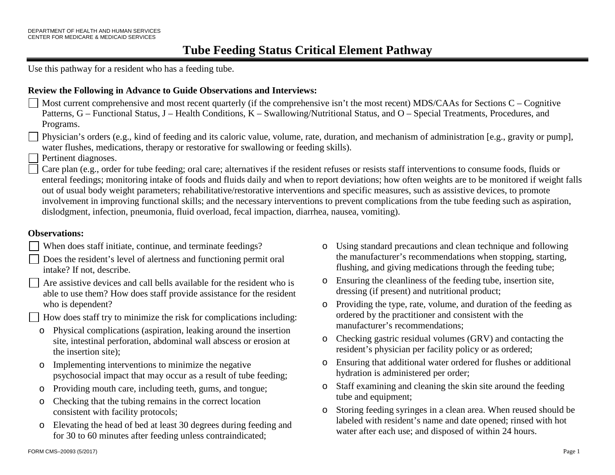# **Tube Feeding Status Critical Element Pathway**

Use this pathway for a resident who has a feeding tube.

#### **Review the Following in Advance to Guide Observations and Interviews:**

Most current comprehensive and most recent quarterly (if the comprehensive isn't the most recent) MDS/CAAs for Sections C – Cognitive Patterns, G – Functional Status, J – Health Conditions, K – Swallowing/Nutritional Status, and O – Special Treatments, Procedures, and Programs.

Physician's orders (e.g., kind of feeding and its caloric value, volume, rate, duration, and mechanism of administration [e.g., gravity or pump], water flushes, medications, therapy or restorative for swallowing or feeding skills).

Pertinent diagnoses.

Care plan (e.g., order for tube feeding; oral care; alternatives if the resident refuses or resists staff interventions to consume foods, fluids or enteral feedings; monitoring intake of foods and fluids daily and when to report deviations; how often weights are to be monitored if weight falls out of usual body weight parameters; rehabilitative/restorative interventions and specific measures, such as assistive devices, to promote involvement in improving functional skills; and the necessary interventions to prevent complications from the tube feeding such as aspiration, dislodgment, infection, pneumonia, fluid overload, fecal impaction, diarrhea, nausea, vomiting).

#### **Observations:**

- When does staff initiate, continue, and terminate feedings?
- Does the resident's level of alertness and functioning permit oral intake? If not, describe.

Are assistive devices and call bells available for the resident who is able to use them? How does staff provide assistance for the resident who is dependent?

How does staff try to minimize the risk for complications including:

- o Physical complications (aspiration, leaking around the insertion site, intestinal perforation, abdominal wall abscess or erosion at the insertion site);
- o Implementing interventions to minimize the negative psychosocial impact that may occur as a result of tube feeding;
- o Providing mouth care, including teeth, gums, and tongue;
- o Checking that the tubing remains in the correct location consistent with facility protocols;
- o Elevating the head of bed at least 30 degrees during feeding and for 30 to 60 minutes after feeding unless contraindicated;
- o Using standard precautions and clean technique and following the manufacturer's recommendations when stopping, starting, flushing, and giving medications through the feeding tube;
- o Ensuring the cleanliness of the feeding tube, insertion site, dressing (if present) and nutritional product;
- o Providing the type, rate, volume, and duration of the feeding as ordered by the practitioner and consistent with the manufacturer's recommendations;
- o Checking gastric residual volumes (GRV) and contacting the resident's physician per facility policy or as ordered;
- o Ensuring that additional water ordered for flushes or additional hydration is administered per order;
- o Staff examining and cleaning the skin site around the feeding tube and equipment;
- o Storing feeding syringes in a clean area. When reused should be labeled with resident's name and date opened; rinsed with hot water after each use; and disposed of within 24 hours.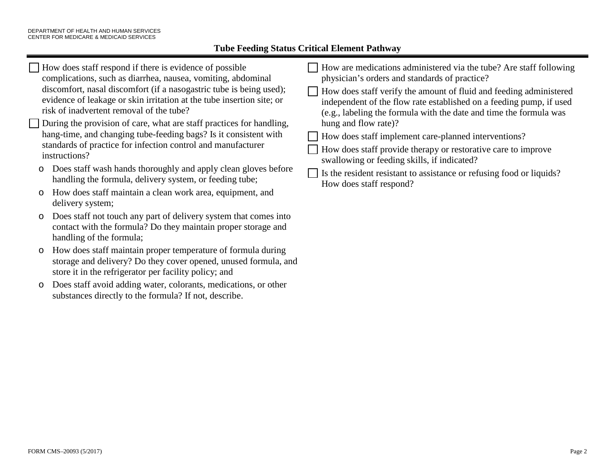$\mathbf{I}$ 

## **Tube Feeding Status Critical Element Pathway**

| risk of inadvertent removal of the tube?<br>(e.g., labeling the formula with the date and time the formula was<br>hung and flow rate)?<br>During the provision of care, what are staff practices for handling,<br>hang-time, and changing tube-feeding bags? Is it consistent with<br>How does staff implement care-planned interventions?<br>standards of practice for infection control and manufacturer<br>How does staff provide therapy or restorative care to improve<br>instructions?<br>swallowing or feeding skills, if indicated?<br>Does staff wash hands thoroughly and apply clean gloves before<br>$\circ$<br>Is the resident resistant to assistance or refusing food or liquids?<br>handling the formula, delivery system, or feeding tube;<br>How does staff respond?<br>How does staff maintain a clean work area, equipment, and<br>$\circ$<br>delivery system;<br>Does staff not touch any part of delivery system that comes into<br>$\circ$<br>contact with the formula? Do they maintain proper storage and<br>handling of the formula; |
|----------------------------------------------------------------------------------------------------------------------------------------------------------------------------------------------------------------------------------------------------------------------------------------------------------------------------------------------------------------------------------------------------------------------------------------------------------------------------------------------------------------------------------------------------------------------------------------------------------------------------------------------------------------------------------------------------------------------------------------------------------------------------------------------------------------------------------------------------------------------------------------------------------------------------------------------------------------------------------------------------------------------------------------------------------------|
|----------------------------------------------------------------------------------------------------------------------------------------------------------------------------------------------------------------------------------------------------------------------------------------------------------------------------------------------------------------------------------------------------------------------------------------------------------------------------------------------------------------------------------------------------------------------------------------------------------------------------------------------------------------------------------------------------------------------------------------------------------------------------------------------------------------------------------------------------------------------------------------------------------------------------------------------------------------------------------------------------------------------------------------------------------------|

- o How does staff maintain proper temperature of formula during storage and delivery? Do they cover opened, unused formula, and store it in the refrigerator per facility policy; and
- o Does staff avoid adding water, colorants, medications, or other substances directly to the formula? If not, describe.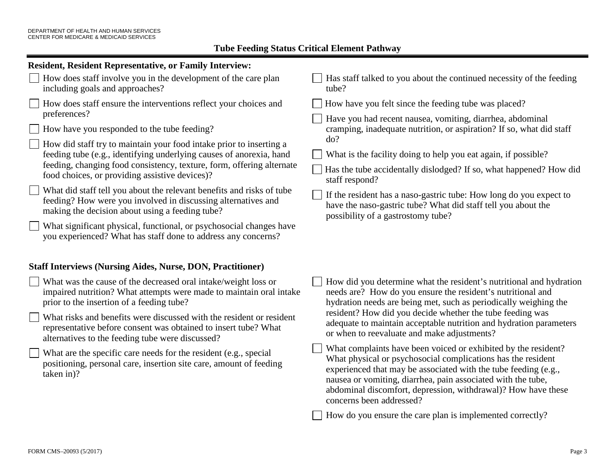| <b>Resident, Resident Representative, or Family Interview:</b>                                                                                                                                                                                                                                                                                                                                                                                                                                                                                                                                                                                                                                                                                |                                                                                                                                                                                                                                                                                                                                                                                                                                                                                                                                                                                                                                                                                                                                                                                                                         |  |  |  |
|-----------------------------------------------------------------------------------------------------------------------------------------------------------------------------------------------------------------------------------------------------------------------------------------------------------------------------------------------------------------------------------------------------------------------------------------------------------------------------------------------------------------------------------------------------------------------------------------------------------------------------------------------------------------------------------------------------------------------------------------------|-------------------------------------------------------------------------------------------------------------------------------------------------------------------------------------------------------------------------------------------------------------------------------------------------------------------------------------------------------------------------------------------------------------------------------------------------------------------------------------------------------------------------------------------------------------------------------------------------------------------------------------------------------------------------------------------------------------------------------------------------------------------------------------------------------------------------|--|--|--|
| How does staff involve you in the development of the care plan<br>including goals and approaches?                                                                                                                                                                                                                                                                                                                                                                                                                                                                                                                                                                                                                                             | Has staff talked to you about the continued necessity of the feeding<br>tube?                                                                                                                                                                                                                                                                                                                                                                                                                                                                                                                                                                                                                                                                                                                                           |  |  |  |
| How does staff ensure the interventions reflect your choices and<br>preferences?<br>How have you responded to the tube feeding?<br>How did staff try to maintain your food intake prior to inserting a<br>feeding tube (e.g., identifying underlying causes of anorexia, hand<br>feeding, changing food consistency, texture, form, offering alternate<br>food choices, or providing assistive devices)?<br>What did staff tell you about the relevant benefits and risks of tube<br>feeding? How were you involved in discussing alternatives and<br>making the decision about using a feeding tube?<br>What significant physical, functional, or psychosocial changes have<br>you experienced? What has staff done to address any concerns? | How have you felt since the feeding tube was placed?<br>Have you had recent nausea, vomiting, diarrhea, abdominal<br>cramping, inadequate nutrition, or aspiration? If so, what did staff<br>do?<br>What is the facility doing to help you eat again, if possible?<br>Has the tube accidentally dislodged? If so, what happened? How did<br>staff respond?<br>If the resident has a naso-gastric tube: How long do you expect to<br>have the naso-gastric tube? What did staff tell you about the<br>possibility of a gastrostomy tube?                                                                                                                                                                                                                                                                                 |  |  |  |
| <b>Staff Interviews (Nursing Aides, Nurse, DON, Practitioner)</b>                                                                                                                                                                                                                                                                                                                                                                                                                                                                                                                                                                                                                                                                             |                                                                                                                                                                                                                                                                                                                                                                                                                                                                                                                                                                                                                                                                                                                                                                                                                         |  |  |  |
| What was the cause of the decreased oral intake/weight loss or<br>impaired nutrition? What attempts were made to maintain oral intake<br>prior to the insertion of a feeding tube?<br>What risks and benefits were discussed with the resident or resident<br>representative before consent was obtained to insert tube? What<br>alternatives to the feeding tube were discussed?<br>What are the specific care needs for the resident (e.g., special<br>positioning, personal care, insertion site care, amount of feeding<br>taken in)?                                                                                                                                                                                                     | How did you determine what the resident's nutritional and hydration<br>needs are? How do you ensure the resident's nutritional and<br>hydration needs are being met, such as periodically weighing the<br>resident? How did you decide whether the tube feeding was<br>adequate to maintain acceptable nutrition and hydration parameters<br>or when to reevaluate and make adjustments?<br>What complaints have been voiced or exhibited by the resident?<br>What physical or psychosocial complications has the resident<br>experienced that may be associated with the tube feeding (e.g.,<br>nausea or vomiting, diarrhea, pain associated with the tube,<br>abdominal discomfort, depression, withdrawal)? How have these<br>concerns been addressed?<br>How do you ensure the care plan is implemented correctly? |  |  |  |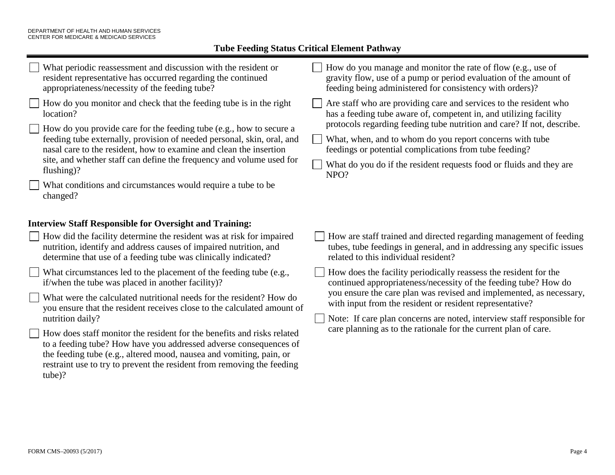# **Tube Feeding Status Critical Element Pathway**

| What periodic reassessment and discussion with the resident or<br>resident representative has occurred regarding the continued<br>appropriateness/necessity of the feeding tube?<br>How do you monitor and check that the feeding tube is in the right<br>location?<br>How do you provide care for the feeding tube (e.g., how to secure a<br>feeding tube externally, provision of needed personal, skin, oral, and<br>nasal care to the resident, how to examine and clean the insertion<br>site, and whether staff can define the frequency and volume used for<br>flushing)?<br>What conditions and circumstances would require a tube to be<br>changed?                                                                                                                                                                                                                             | How do you manage and monitor the rate of flow (e.g., use of<br>gravity flow, use of a pump or period evaluation of the amount of<br>feeding being administered for consistency with orders)?<br>Are staff who are providing care and services to the resident who<br>has a feeding tube aware of, competent in, and utilizing facility<br>protocols regarding feeding tube nutrition and care? If not, describe.<br>What, when, and to whom do you report concerns with tube<br>feedings or potential complications from tube feeding?<br>What do you do if the resident requests food or fluids and they are<br>NPO? |
|------------------------------------------------------------------------------------------------------------------------------------------------------------------------------------------------------------------------------------------------------------------------------------------------------------------------------------------------------------------------------------------------------------------------------------------------------------------------------------------------------------------------------------------------------------------------------------------------------------------------------------------------------------------------------------------------------------------------------------------------------------------------------------------------------------------------------------------------------------------------------------------|------------------------------------------------------------------------------------------------------------------------------------------------------------------------------------------------------------------------------------------------------------------------------------------------------------------------------------------------------------------------------------------------------------------------------------------------------------------------------------------------------------------------------------------------------------------------------------------------------------------------|
| <b>Interview Staff Responsible for Oversight and Training:</b><br>How did the facility determine the resident was at risk for impaired<br>nutrition, identify and address causes of impaired nutrition, and<br>determine that use of a feeding tube was clinically indicated?<br>What circumstances led to the placement of the feeding tube (e.g.,<br>if/when the tube was placed in another facility)?<br>What were the calculated nutritional needs for the resident? How do<br>you ensure that the resident receives close to the calculated amount of<br>nutrition daily?<br>How does staff monitor the resident for the benefits and risks related<br>to a feeding tube? How have you addressed adverse consequences of<br>the feeding tube (e.g., altered mood, nausea and vomiting, pain, or<br>restraint use to try to prevent the resident from removing the feeding<br>tube)? | How are staff trained and directed regarding management of feeding<br>tubes, tube feedings in general, and in addressing any specific issues<br>related to this individual resident?<br>How does the facility periodically reassess the resident for the<br>continued appropriateness/necessity of the feeding tube? How do<br>you ensure the care plan was revised and implemented, as necessary,<br>with input from the resident or resident representative?<br>Note: If care plan concerns are noted, interview staff responsible for<br>care planning as to the rationale for the current plan of care.            |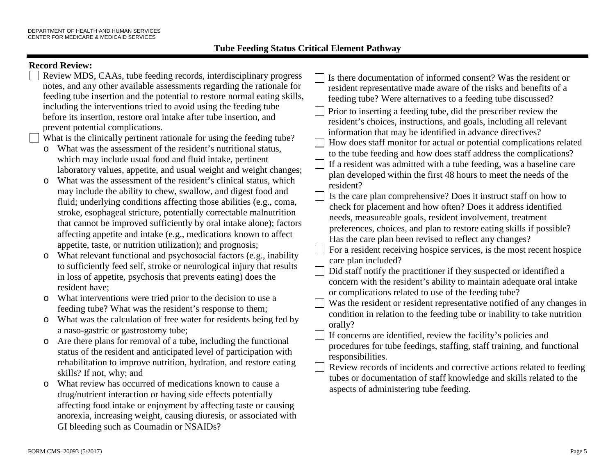## **Record Review:**

| Review MDS, CAAs, tube feeding records, interdisciplinary progress<br>notes, and any other available assessments regarding the rationale for<br>feeding tube insertion and the potential to restore normal eating skills,<br>including the interventions tried to avoid using the feeding tube<br>before its insertion, restore oral intake after tube insertion, and<br>prevent potential complications.<br>What is the clinically pertinent rationale for using the feeding tube?<br>What was the assessment of the resident's nutritional status,<br>$\circ$<br>which may include usual food and fluid intake, pertinent<br>laboratory values, appetite, and usual weight and weight changes; | Is there documentation of informed consent? Was the resident or<br>resident representative made aware of the risks and benefits of a<br>feeding tube? Were alternatives to a feeding tube discussed?<br>Prior to inserting a feeding tube, did the prescriber review the<br>resident's choices, instructions, and goals, including all relevant<br>information that may be identified in advance directives?<br>How does staff monitor for actual or potential complications related<br>to the tube feeding and how does staff address the complications?<br>If a resident was admitted with a tube feeding, was a baseline care<br>plan developed within the first 48 hours to meet the needs of the<br>resident?<br>Is the care plan comprehensive? Does it instruct staff on how to<br>check for placement and how often? Does it address identified<br>needs, measureable goals, resident involvement, treatment<br>preferences, choices, and plan to restore eating skills if possible?<br>Has the care plan been revised to reflect any changes?<br>For a resident receiving hospice services, is the most recent hospice<br>care plan included?<br>Did staff notify the practitioner if they suspected or identified a<br>concern with the resident's ability to maintain adequate oral intake |
|--------------------------------------------------------------------------------------------------------------------------------------------------------------------------------------------------------------------------------------------------------------------------------------------------------------------------------------------------------------------------------------------------------------------------------------------------------------------------------------------------------------------------------------------------------------------------------------------------------------------------------------------------------------------------------------------------|-------------------------------------------------------------------------------------------------------------------------------------------------------------------------------------------------------------------------------------------------------------------------------------------------------------------------------------------------------------------------------------------------------------------------------------------------------------------------------------------------------------------------------------------------------------------------------------------------------------------------------------------------------------------------------------------------------------------------------------------------------------------------------------------------------------------------------------------------------------------------------------------------------------------------------------------------------------------------------------------------------------------------------------------------------------------------------------------------------------------------------------------------------------------------------------------------------------------------------------------------------------------------------------------------------|
| What was the assessment of the resident's clinical status, which<br>$\circ$<br>may include the ability to chew, swallow, and digest food and<br>fluid; underlying conditions affecting those abilities (e.g., coma,<br>stroke, esophageal stricture, potentially correctable malnutrition<br>that cannot be improved sufficiently by oral intake alone); factors                                                                                                                                                                                                                                                                                                                                 |                                                                                                                                                                                                                                                                                                                                                                                                                                                                                                                                                                                                                                                                                                                                                                                                                                                                                                                                                                                                                                                                                                                                                                                                                                                                                                       |
| affecting appetite and intake (e.g., medications known to affect<br>appetite, taste, or nutrition utilization); and prognosis;<br>What relevant functional and psychosocial factors (e.g., inability<br>$\circ$<br>to sufficiently feed self, stroke or neurological injury that results<br>in loss of appetite, psychosis that prevents eating) does the<br>resident have;                                                                                                                                                                                                                                                                                                                      |                                                                                                                                                                                                                                                                                                                                                                                                                                                                                                                                                                                                                                                                                                                                                                                                                                                                                                                                                                                                                                                                                                                                                                                                                                                                                                       |
| What interventions were tried prior to the decision to use a<br>$\circ$<br>feeding tube? What was the resident's response to them;                                                                                                                                                                                                                                                                                                                                                                                                                                                                                                                                                               | or complications related to use of the feeding tube?<br>Was the resident or resident representative notified of any changes in                                                                                                                                                                                                                                                                                                                                                                                                                                                                                                                                                                                                                                                                                                                                                                                                                                                                                                                                                                                                                                                                                                                                                                        |
| What was the calculation of free water for residents being fed by<br>$\circ$                                                                                                                                                                                                                                                                                                                                                                                                                                                                                                                                                                                                                     | condition in relation to the feeding tube or inability to take nutrition<br>orally?                                                                                                                                                                                                                                                                                                                                                                                                                                                                                                                                                                                                                                                                                                                                                                                                                                                                                                                                                                                                                                                                                                                                                                                                                   |
| a naso-gastric or gastrostomy tube;<br>Are there plans for removal of a tube, including the functional<br>$\circ$<br>status of the resident and anticipated level of participation with<br>rehabilitation to improve nutrition, hydration, and restore eating<br>skills? If not, why; and                                                                                                                                                                                                                                                                                                                                                                                                        | If concerns are identified, review the facility's policies and<br>procedures for tube feedings, staffing, staff training, and functional<br>responsibilities.<br>Review records of incidents and corrective actions related to feeding<br>tubes or documentation of staff knowledge and skills related to the<br>aspects of administering tube feeding.                                                                                                                                                                                                                                                                                                                                                                                                                                                                                                                                                                                                                                                                                                                                                                                                                                                                                                                                               |
| What review has occurred of medications known to cause a<br>$\circ$<br>drug/nutrient interaction or having side effects potentially<br>affecting food intake or enjoyment by affecting taste or causing<br>anorexia, increasing weight, causing diuresis, or associated with                                                                                                                                                                                                                                                                                                                                                                                                                     |                                                                                                                                                                                                                                                                                                                                                                                                                                                                                                                                                                                                                                                                                                                                                                                                                                                                                                                                                                                                                                                                                                                                                                                                                                                                                                       |

GI bleeding such as Coumadin or NSAIDs?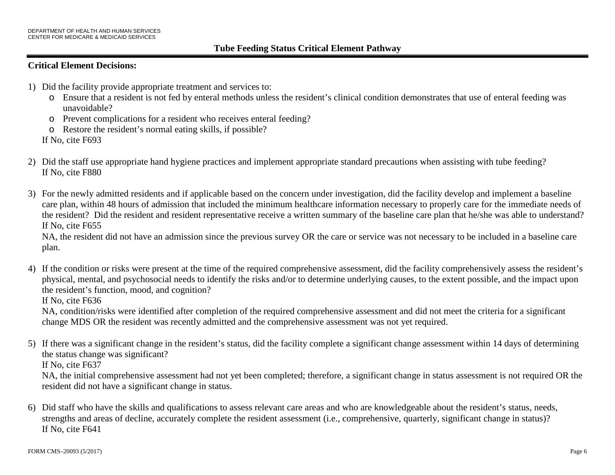## **Critical Element Decisions:**

- 1) Did the facility provide appropriate treatment and services to:
	- o Ensure that a resident is not fed by enteral methods unless the resident's clinical condition demonstrates that use of enteral feeding was unavoidable?
	- o Prevent complications for a resident who receives enteral feeding?
	- o Restore the resident's normal eating skills, if possible?

If No, cite F693

- 2) Did the staff use appropriate hand hygiene practices and implement appropriate standard precautions when assisting with tube feeding? If No, cite F880
- 3) For the newly admitted residents and if applicable based on the concern under investigation, did the facility develop and implement a baseline care plan, within 48 hours of admission that included the minimum healthcare information necessary to properly care for the immediate needs of the resident? Did the resident and resident representative receive a written summary of the baseline care plan that he/she was able to understand? If No, cite F655

NA, the resident did not have an admission since the previous survey OR the care or service was not necessary to be included in a baseline care plan.

4) If the condition or risks were present at the time of the required comprehensive assessment, did the facility comprehensively assess the resident's physical, mental, and psychosocial needs to identify the risks and/or to determine underlying causes, to the extent possible, and the impact upon the resident's function, mood, and cognition?

If No, cite F636

NA, condition/risks were identified after completion of the required comprehensive assessment and did not meet the criteria for a significant change MDS OR the resident was recently admitted and the comprehensive assessment was not yet required.

5) If there was a significant change in the resident's status, did the facility complete a significant change assessment within 14 days of determining the status change was significant?

If No, cite F637

NA, the initial comprehensive assessment had not yet been completed; therefore, a significant change in status assessment is not required OR the resident did not have a significant change in status.

6) Did staff who have the skills and qualifications to assess relevant care areas and who are knowledgeable about the resident's status, needs, strengths and areas of decline, accurately complete the resident assessment (i.e., comprehensive, quarterly, significant change in status)? If No, cite F641